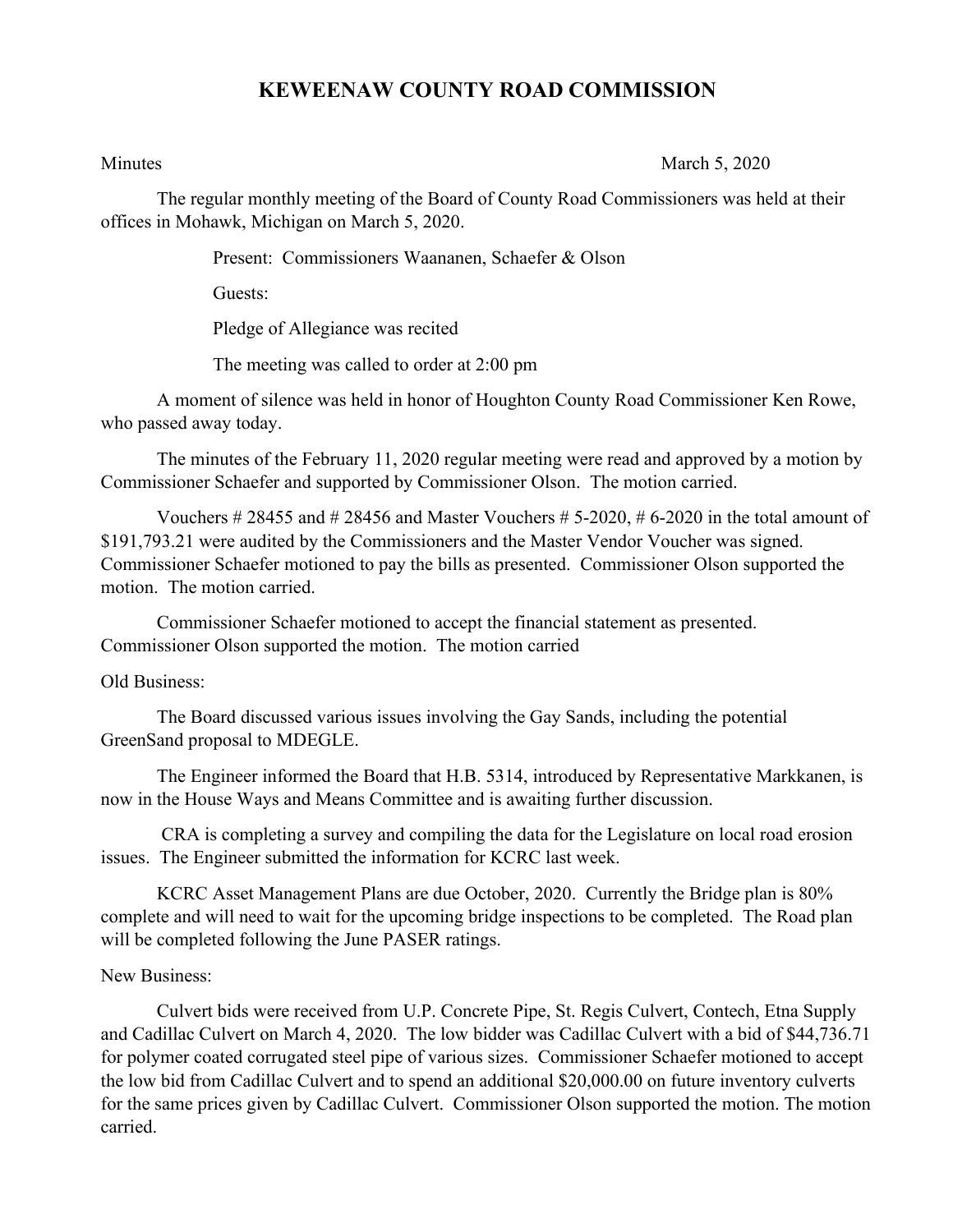## **KEWEENAW COUNTY ROAD COMMISSION**

Minutes March 5, 2020

The regular monthly meeting of the Board of County Road Commissioners was held at their offices in Mohawk, Michigan on March 5, 2020.

Present: Commissioners Waananen, Schaefer & Olson

Guests:

Pledge of Allegiance was recited

The meeting was called to order at 2:00 pm

A moment of silence was held in honor of Houghton County Road Commissioner Ken Rowe, who passed away today.

The minutes of the February 11, 2020 regular meeting were read and approved by a motion by Commissioner Schaefer and supported by Commissioner Olson. The motion carried.

Vouchers  $\# 28455$  and  $\# 28456$  and Master Vouchers  $\# 5$ -2020,  $\# 6$ -2020 in the total amount of \$191,793.21 were audited by the Commissioners and the Master Vendor Voucher was signed. Commissioner Schaefer motioned to pay the bills as presented. Commissioner Olson supported the motion. The motion carried.

Commissioner Schaefer motioned to accept the financial statement as presented. Commissioner Olson supported the motion. The motion carried

Old Business:

The Board discussed various issues involving the Gay Sands, including the potential GreenSand proposal to MDEGLE.

The Engineer informed the Board that H.B. 5314, introduced by Representative Markkanen, is now in the House Ways and Means Committee and is awaiting further discussion.

CRA is completing a survey and compiling the data for the Legislature on local road erosion issues. The Engineer submitted the information for KCRC last week.

KCRC Asset Management Plans are due October, 2020. Currently the Bridge plan is 80% complete and will need to wait for the upcoming bridge inspections to be completed. The Road plan will be completed following the June PASER ratings.

## New Business:

Culvert bids were received from U.P. Concrete Pipe, St. Regis Culvert, Contech, Etna Supply and Cadillac Culvert on March 4, 2020. The low bidder was Cadillac Culvert with a bid of \$44,736.71 for polymer coated corrugated steel pipe of various sizes. Commissioner Schaefer motioned to accept the low bid from Cadillac Culvert and to spend an additional \$20,000.00 on future inventory culverts for the same prices given by Cadillac Culvert. Commissioner Olson supported the motion. The motion carried.